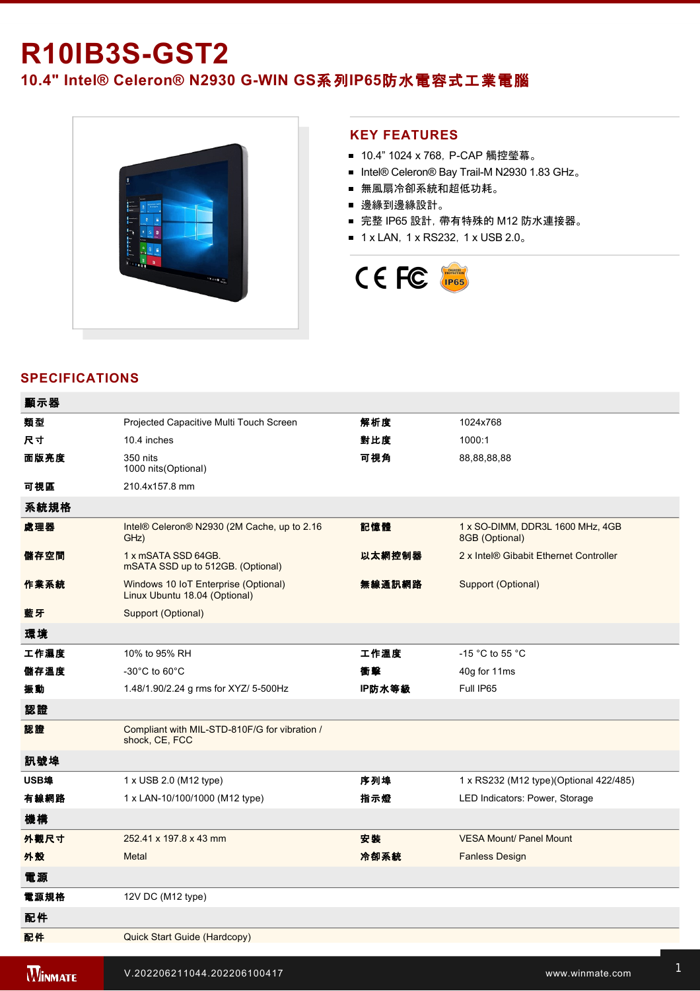# **R10IB3S-GST2**

10.4" Intel® Celeron® N2930 G-WIN GS系列IP65防水電容式工業電腦



I/O Protective Cap x 3

#### **KEY FEATURES**

- 10.4" 1024 x 768, P-CAP 觸控瑩幕。
- Intel® Celeron® Bay Trail-M N2930 1.83 GHz。
- 無風扇冷卻系統和超低功耗。
- 邊緣到邊緣設計。
- 完整 IP65 設計, 帶有特殊的 M12 防水連接器。
- 1 x LAN, 1 x RS232, 1 x USB 2.0。



## **SPECIFICATIONS**

| 顯示器            |                                                                       |        |                                                    |
|----------------|-----------------------------------------------------------------------|--------|----------------------------------------------------|
| 類型             | Projected Capacitive Multi Touch Screen                               | 解析度    | 1024x768                                           |
| 尺寸             | 10.4 inches                                                           | 對比度    | 1000:1                                             |
| 面版亮度           | 350 nits<br>1000 nits (Optional)                                      | 可視角    | 88,88,88,88                                        |
| 可視區            | 210.4x157.8 mm                                                        |        |                                                    |
| 系統規格           |                                                                       |        |                                                    |
| 處理器            | Intel® Celeron® N2930 (2M Cache, up to 2.16<br>GHz)                   | 記憶體    | 1 x SO-DIMM, DDR3L 1600 MHz, 4GB<br>8GB (Optional) |
| 儲存空間           | 1 x mSATA SSD 64GB.<br>mSATA SSD up to 512GB. (Optional)              | 以太網控制器 | 2 x Intel® Gibabit Ethernet Controller             |
| 作業系統           | Windows 10 IoT Enterprise (Optional)<br>Linux Ubuntu 18.04 (Optional) | 無線通訊網路 | Support (Optional)                                 |
| 藍牙             | Support (Optional)                                                    |        |                                                    |
| 環境             |                                                                       |        |                                                    |
| 工作濕度           | 10% to 95% RH                                                         | 工作溫度   | -15 °C to 55 °C                                    |
| 儲存溫度           | $-30^{\circ}$ C to 60 $^{\circ}$ C                                    | 衝擊     | 40g for 11ms                                       |
| 振動             | 1.48/1.90/2.24 g rms for XYZ/ 5-500Hz                                 | IP防水等級 | Full IP65                                          |
| 認證             |                                                                       |        |                                                    |
| 認證             | Compliant with MIL-STD-810F/G for vibration /<br>shock, CE, FCC       |        |                                                    |
| 訊號埠            |                                                                       |        |                                                    |
| USB埠           | 1 x USB 2.0 (M12 type)                                                | 序列埠    | 1 x RS232 (M12 type)(Optional 422/485)             |
| 有線網路           | 1 x LAN-10/100/1000 (M12 type)                                        | 指示燈    | LED Indicators: Power, Storage                     |
| 機構             |                                                                       |        |                                                    |
| 外觀尺寸           | 252.41 x 197.8 x 43 mm                                                | 安装     | <b>VESA Mount/ Panel Mount</b>                     |
| 外殼             | Metal                                                                 | 冷卻系統   | <b>Fanless Design</b>                              |
| 雷源             |                                                                       |        |                                                    |
| 電源規格           | 12V DC (M12 type)                                                     |        |                                                    |
| 配件             |                                                                       |        |                                                    |
| 配件             | Quick Start Guide (Hardcopy)                                          |        |                                                    |
|                |                                                                       |        |                                                    |
| <b>WINMATE</b> | V.202206211044.202206100417                                           |        | www.winmate.com                                    |